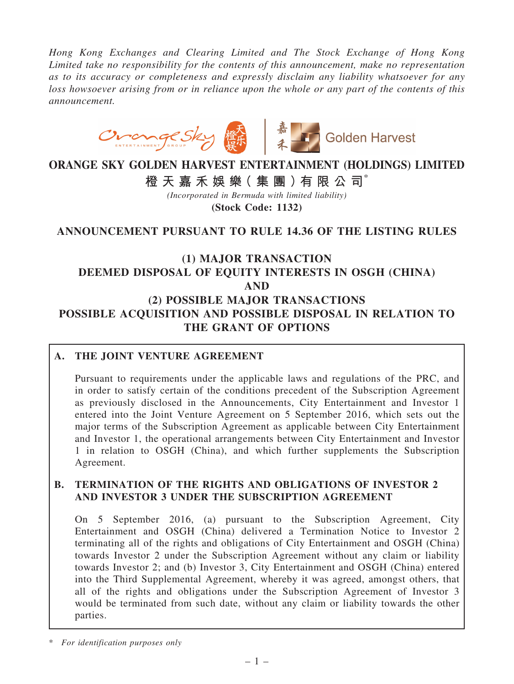*Hong Kong Exchanges and Clearing Limited and The Stock Exchange of Hong Kong Limited take no responsibility for the contents of this announcement, make no representation as to its accuracy or completeness and expressly disclaim any liability whatsoever for any loss howsoever arising from or in reliance upon the whole or any part of the contents of this announcement.*



# ORANGE SKY GOLDEN HARVEST ENTERTAINMENT (HOLDINGS) LIMITED 橙 天 嘉 禾 娛 樂 (集 團 ) 有 限 公 司 $^*$

*(Incorporated in Bermuda with limited liability)* (Stock Code: 1132)

## ANNOUNCEMENT PURSUANT TO RULE 14.36 OF THE LISTING RULES

## (1) MAJOR TRANSACTION DEEMED DISPOSAL OF EQUITY INTERESTS IN OSGH (CHINA) AND (2) POSSIBLE MAJOR TRANSACTIONS POSSIBLE ACQUISITION AND POSSIBLE DISPOSAL IN RELATION TO THE GRANT OF OPTIONS

## A. THE JOINT VENTURE AGREEMENT

Pursuant to requirements under the applicable laws and regulations of the PRC, and in order to satisfy certain of the conditions precedent of the Subscription Agreement as previously disclosed in the Announcements, City Entertainment and Investor 1 entered into the Joint Venture Agreement on 5 September 2016, which sets out the major terms of the Subscription Agreement as applicable between City Entertainment and Investor 1, the operational arrangements between City Entertainment and Investor 1 in relation to OSGH (China), and which further supplements the Subscription Agreement.

## B. TERMINATION OF THE RIGHTS AND OBLIGATIONS OF INVESTOR 2 AND INVESTOR 3 UNDER THE SUBSCRIPTION AGREEMENT

On 5 September 2016, (a) pursuant to the Subscription Agreement, City Entertainment and OSGH (China) delivered a Termination Notice to Investor 2 terminating all of the rights and obligations of City Entertainment and OSGH (China) towards Investor 2 under the Subscription Agreement without any claim or liability towards Investor 2; and (b) Investor 3, City Entertainment and OSGH (China) entered into the Third Supplemental Agreement, whereby it was agreed, amongst others, that all of the rights and obligations under the Subscription Agreement of Investor 3 would be terminated from such date, without any claim or liability towards the other parties.

<sup>\*</sup> *For identification purposes only*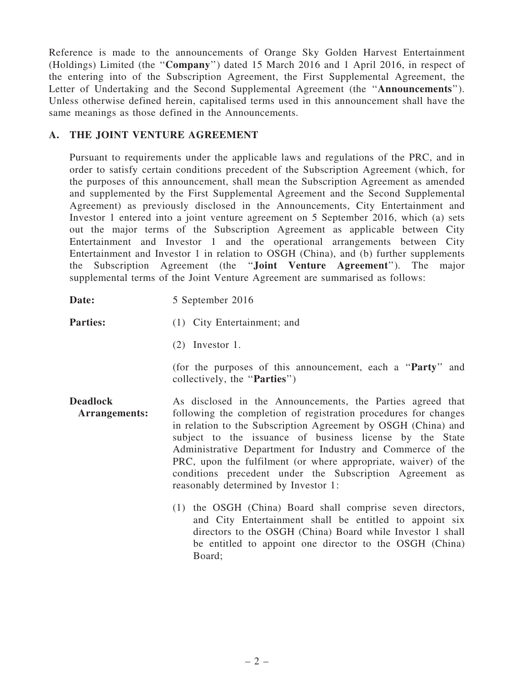Reference is made to the announcements of Orange Sky Golden Harvest Entertainment (Holdings) Limited (the ''Company'') dated 15 March 2016 and 1 April 2016, in respect of the entering into of the Subscription Agreement, the First Supplemental Agreement, the Letter of Undertaking and the Second Supplemental Agreement (the "Announcements"). Unless otherwise defined herein, capitalised terms used in this announcement shall have the same meanings as those defined in the Announcements.

## A. THE JOINT VENTURE AGREEMENT

Pursuant to requirements under the applicable laws and regulations of the PRC, and in order to satisfy certain conditions precedent of the Subscription Agreement (which, for the purposes of this announcement, shall mean the Subscription Agreement as amended and supplemented by the First Supplemental Agreement and the Second Supplemental Agreement) as previously disclosed in the Announcements, City Entertainment and Investor 1 entered into a joint venture agreement on 5 September 2016, which (a) sets out the major terms of the Subscription Agreement as applicable between City Entertainment and Investor 1 and the operational arrangements between City Entertainment and Investor 1 in relation to OSGH (China), and (b) further supplements the Subscription Agreement (the ''Joint Venture Agreement''). The major supplemental terms of the Joint Venture Agreement are summarised as follows:

Date: 5 September 2016

**Parties:** (1) City Entertainment; and

- 
- - (2) Investor 1.

(for the purposes of this announcement, each a ''Party'' and collectively, the ''Parties'')

- Deadlock Arrangements: As disclosed in the Announcements, the Parties agreed that following the completion of registration procedures for changes in relation to the Subscription Agreement by OSGH (China) and subject to the issuance of business license by the State Administrative Department for Industry and Commerce of the PRC, upon the fulfilment (or where appropriate, waiver) of the conditions precedent under the Subscription Agreement as reasonably determined by Investor 1:
	- (1) the OSGH (China) Board shall comprise seven directors, and City Entertainment shall be entitled to appoint six directors to the OSGH (China) Board while Investor 1 shall be entitled to appoint one director to the OSGH (China) Board;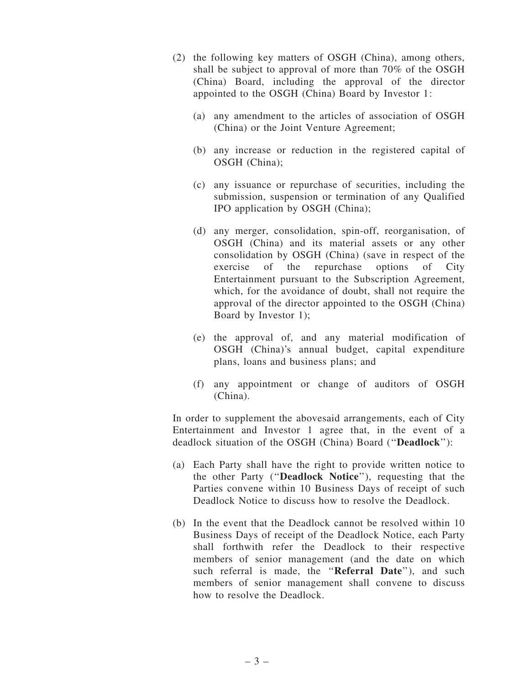- (2) the following key matters of OSGH (China), among others, shall be subject to approval of more than 70% of the OSGH (China) Board, including the approval of the director appointed to the OSGH (China) Board by Investor 1:
	- (a) any amendment to the articles of association of OSGH (China) or the Joint Venture Agreement;
	- (b) any increase or reduction in the registered capital of OSGH (China);
	- (c) any issuance or repurchase of securities, including the submission, suspension or termination of any Qualified IPO application by OSGH (China);
	- (d) any merger, consolidation, spin-off, reorganisation, of OSGH (China) and its material assets or any other consolidation by OSGH (China) (save in respect of the exercise of the repurchase options of City Entertainment pursuant to the Subscription Agreement, which, for the avoidance of doubt, shall not require the approval of the director appointed to the OSGH (China) Board by Investor 1);
	- (e) the approval of, and any material modification of OSGH (China)'s annual budget, capital expenditure plans, loans and business plans; and
	- (f) any appointment or change of auditors of OSGH (China).

In order to supplement the abovesaid arrangements, each of City Entertainment and Investor 1 agree that, in the event of a deadlock situation of the OSGH (China) Board (''Deadlock''):

- (a) Each Party shall have the right to provide written notice to the other Party (''Deadlock Notice''), requesting that the Parties convene within 10 Business Days of receipt of such Deadlock Notice to discuss how to resolve the Deadlock.
- (b) In the event that the Deadlock cannot be resolved within 10 Business Days of receipt of the Deadlock Notice, each Party shall forthwith refer the Deadlock to their respective members of senior management (and the date on which such referral is made, the "Referral Date"), and such members of senior management shall convene to discuss how to resolve the Deadlock.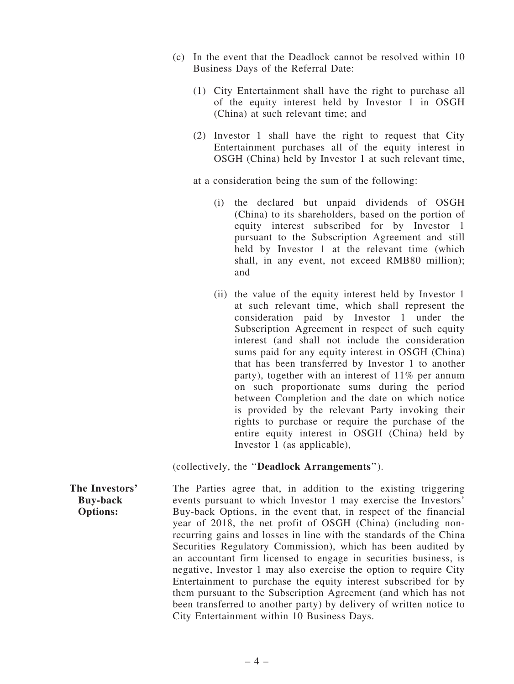- (c) In the event that the Deadlock cannot be resolved within 10 Business Days of the Referral Date:
	- (1) City Entertainment shall have the right to purchase all of the equity interest held by Investor 1 in OSGH (China) at such relevant time; and
	- (2) Investor 1 shall have the right to request that City Entertainment purchases all of the equity interest in OSGH (China) held by Investor 1 at such relevant time,

at a consideration being the sum of the following:

- (i) the declared but unpaid dividends of OSGH (China) to its shareholders, based on the portion of equity interest subscribed for by Investor 1 pursuant to the Subscription Agreement and still held by Investor 1 at the relevant time (which shall, in any event, not exceed RMB80 million); and
- (ii) the value of the equity interest held by Investor 1 at such relevant time, which shall represent the consideration paid by Investor 1 under the Subscription Agreement in respect of such equity interest (and shall not include the consideration sums paid for any equity interest in OSGH (China) that has been transferred by Investor 1 to another party), together with an interest of 11% per annum on such proportionate sums during the period between Completion and the date on which notice is provided by the relevant Party invoking their rights to purchase or require the purchase of the entire equity interest in OSGH (China) held by Investor 1 (as applicable),

(collectively, the ''Deadlock Arrangements'').

The Investors' Buy-back Options: The Parties agree that, in addition to the existing triggering events pursuant to which Investor 1 may exercise the Investors' Buy-back Options, in the event that, in respect of the financial year of 2018, the net profit of OSGH (China) (including nonrecurring gains and losses in line with the standards of the China Securities Regulatory Commission), which has been audited by an accountant firm licensed to engage in securities business, is negative, Investor 1 may also exercise the option to require City Entertainment to purchase the equity interest subscribed for by them pursuant to the Subscription Agreement (and which has not been transferred to another party) by delivery of written notice to City Entertainment within 10 Business Days.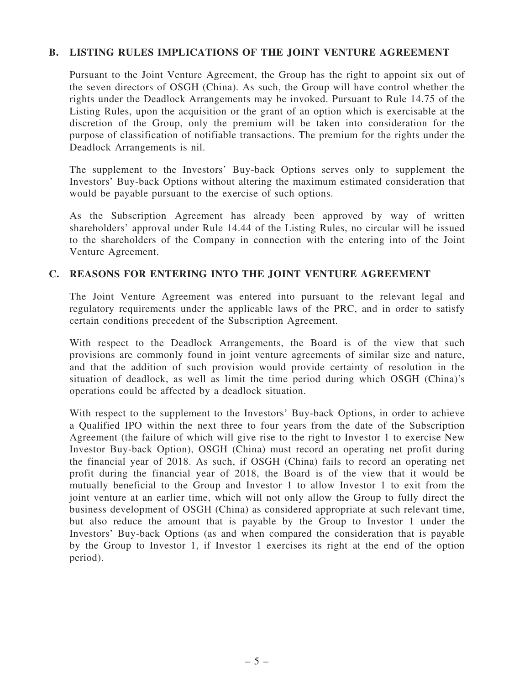## B. LISTING RULES IMPLICATIONS OF THE JOINT VENTURE AGREEMENT

Pursuant to the Joint Venture Agreement, the Group has the right to appoint six out of the seven directors of OSGH (China). As such, the Group will have control whether the rights under the Deadlock Arrangements may be invoked. Pursuant to Rule 14.75 of the Listing Rules, upon the acquisition or the grant of an option which is exercisable at the discretion of the Group, only the premium will be taken into consideration for the purpose of classification of notifiable transactions. The premium for the rights under the Deadlock Arrangements is nil.

The supplement to the Investors' Buy-back Options serves only to supplement the Investors' Buy-back Options without altering the maximum estimated consideration that would be payable pursuant to the exercise of such options.

As the Subscription Agreement has already been approved by way of written shareholders' approval under Rule 14.44 of the Listing Rules, no circular will be issued to the shareholders of the Company in connection with the entering into of the Joint Venture Agreement.

#### C. REASONS FOR ENTERING INTO THE JOINT VENTURE AGREEMENT

The Joint Venture Agreement was entered into pursuant to the relevant legal and regulatory requirements under the applicable laws of the PRC, and in order to satisfy certain conditions precedent of the Subscription Agreement.

With respect to the Deadlock Arrangements, the Board is of the view that such provisions are commonly found in joint venture agreements of similar size and nature, and that the addition of such provision would provide certainty of resolution in the situation of deadlock, as well as limit the time period during which OSGH (China)'s operations could be affected by a deadlock situation.

With respect to the supplement to the Investors' Buy-back Options, in order to achieve a Qualified IPO within the next three to four years from the date of the Subscription Agreement (the failure of which will give rise to the right to Investor 1 to exercise New Investor Buy-back Option), OSGH (China) must record an operating net profit during the financial year of 2018. As such, if OSGH (China) fails to record an operating net profit during the financial year of 2018, the Board is of the view that it would be mutually beneficial to the Group and Investor 1 to allow Investor 1 to exit from the joint venture at an earlier time, which will not only allow the Group to fully direct the business development of OSGH (China) as considered appropriate at such relevant time, but also reduce the amount that is payable by the Group to Investor 1 under the Investors' Buy-back Options (as and when compared the consideration that is payable by the Group to Investor 1, if Investor 1 exercises its right at the end of the option period).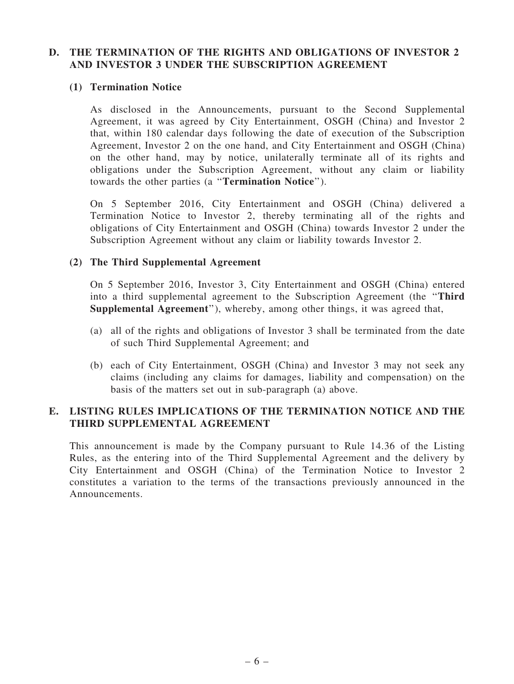## D. THE TERMINATION OF THE RIGHTS AND OBLIGATIONS OF INVESTOR 2 AND INVESTOR 3 UNDER THE SUBSCRIPTION AGREEMENT

#### (1) Termination Notice

As disclosed in the Announcements, pursuant to the Second Supplemental Agreement, it was agreed by City Entertainment, OSGH (China) and Investor 2 that, within 180 calendar days following the date of execution of the Subscription Agreement, Investor 2 on the one hand, and City Entertainment and OSGH (China) on the other hand, may by notice, unilaterally terminate all of its rights and obligations under the Subscription Agreement, without any claim or liability towards the other parties (a ''Termination Notice'').

On 5 September 2016, City Entertainment and OSGH (China) delivered a Termination Notice to Investor 2, thereby terminating all of the rights and obligations of City Entertainment and OSGH (China) towards Investor 2 under the Subscription Agreement without any claim or liability towards Investor 2.

## (2) The Third Supplemental Agreement

On 5 September 2016, Investor 3, City Entertainment and OSGH (China) entered into a third supplemental agreement to the Subscription Agreement (the ''Third Supplemental Agreement''), whereby, among other things, it was agreed that,

- (a) all of the rights and obligations of Investor 3 shall be terminated from the date of such Third Supplemental Agreement; and
- (b) each of City Entertainment, OSGH (China) and Investor 3 may not seek any claims (including any claims for damages, liability and compensation) on the basis of the matters set out in sub-paragraph (a) above.

## E. LISTING RULES IMPLICATIONS OF THE TERMINATION NOTICE AND THE THIRD SUPPLEMENTAL AGREEMENT

This announcement is made by the Company pursuant to Rule 14.36 of the Listing Rules, as the entering into of the Third Supplemental Agreement and the delivery by City Entertainment and OSGH (China) of the Termination Notice to Investor 2 constitutes a variation to the terms of the transactions previously announced in the Announcements.